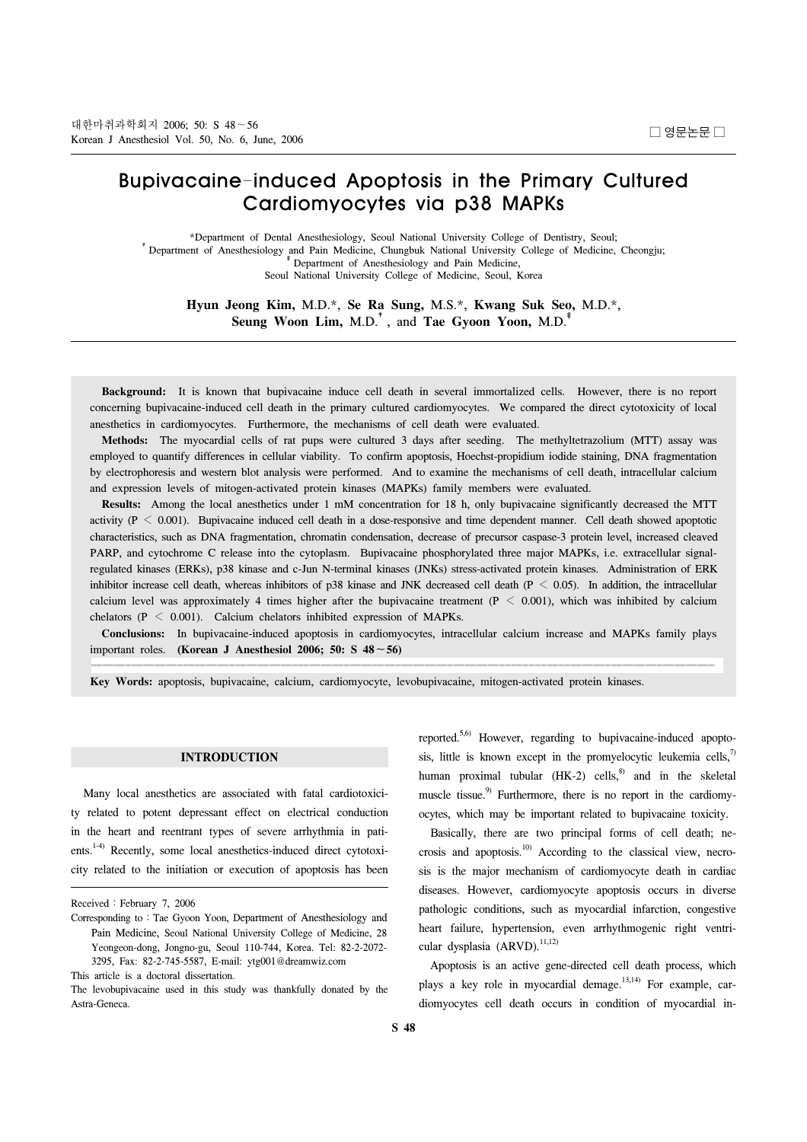# Bupivacaine-induced Apoptosis in the Primary Cultured Cardiomyocytes via p38 MAPKs

\*Department of Dental Anesthesiology, Seoul National University College of Dentistry, Seoul;<br>† Department of Anesthesiology and Pain Medicine, Chungbuk National University College of Medicine, Cheongju;<br>† Department of Ane Seoul National University College of Medicine, Seoul, Korea

**Hyun Jeong Kim,** M.D.\*, **Se Ra Sung,** M.S.\*, **Kwang Suk Seo,** M.D.\*, **Seung Woon Lim,** M.D.†, and **Tae Gyoon Yoon,** M.D.‡

 **Background:** It is known that bupivacaine induce cell death in several immortalized cells. However, there is no report concerning bupivacaine-induced cell death in the primary cultured cardiomyocytes. We compared the direct cytotoxicity of local anesthetics in cardiomyocytes. Furthermore, the mechanisms of cell death were evaluated.

 **Methods:** The myocardial cells of rat pups were cultured 3 days after seeding. The methyltetrazolium (MTT) assay was employed to quantify differences in cellular viability. To confirm apoptosis, Hoechst-propidium iodide staining, DNA fragmentation by electrophoresis and western blot analysis were performed. And to examine the mechanisms of cell death, intracellular calcium and expression levels of mitogen-activated protein kinases (MAPKs) family members were evaluated.

 **Results:** Among the local anesthetics under 1 mM concentration for 18 h, only bupivacaine significantly decreased the MTT activity ( $P < 0.001$ ). Bupivacaine induced cell death in a dose-responsive and time dependent manner. Cell death showed apoptotic characteristics, such as DNA fragmentation, chromatin condensation, decrease of precursor caspase-3 protein level, increased cleaved PARP, and cytochrome C release into the cytoplasm. Bupivacaine phosphorylated three major MAPKs, i.e. extracellular signalregulated kinases (ERKs), p38 kinase and c-Jun N-terminal kinases (JNKs) stress-activated protein kinases. Administration of ERK inhibitor increase cell death, whereas inhibitors of p38 kinase and JNK decreased cell death ( $P < 0.05$ ). In addition, the intracellular calcium level was approximately 4 times higher after the bupivacaine treatment  $(P < 0.001)$ , which was inhibited by calcium chelators ( $P < 0.001$ ). Calcium chelators inhibited expression of MAPKs.

 **Conclusions:** In bupivacaine-induced apoptosis in cardiomyocytes, intracellular calcium increase and MAPKs family plays important roles. **(Korean J Anesthesiol 2006; 50: S 48**∼**56)**

**Key Words:** apoptosis, bupivacaine, calcium, cardiomyocyte, levobupivacaine, mitogen-activated protein kinases.

## **INTRODUCTION**

 Many local anesthetics are associated with fatal cardiotoxicity related to potent depressant effect on electrical conduction in the heart and reentrant types of severe arrhythmia in patients.<sup>1-4)</sup> Recently, some local anesthetics-induced direct cytotoxicity related to the initiation or execution of apoptosis has been

reported.5,6) However, regarding to bupivacaine-induced apoptosis, little is known except in the promyelocytic leukemia cells, $\frac{7}{2}$ human proximal tubular  $(HK-2)$  cells,<sup>8)</sup> and in the skeletal muscle tissue.<sup>9)</sup> Furthermore, there is no report in the cardiomyocytes, which may be important related to bupivacaine toxicity.

 Basically, there are two principal forms of cell death; necrosis and apoptosis.<sup>10)</sup> According to the classical view, necrosis is the major mechanism of cardiomyocyte death in cardiac diseases. However, cardiomyocyte apoptosis occurs in diverse pathologic conditions, such as myocardial infarction, congestive heart failure, hypertension, even arrhythmogenic right ventricular dysplasia  $(ARVD)$ .<sup>11,12)</sup>

 Apoptosis is an active gene-directed cell death process, which plays a key role in myocardial demage.<sup>13,14)</sup> For example, cardiomyocytes cell death occurs in condition of myocardial in-

Received: February 7, 2006

Corresponding to: Tae Gyoon Yoon, Department of Anesthesiology and Pain Medicine, Seoul National University College of Medicine, 28 Yeongeon-dong, Jongno-gu, Seoul 110-744, Korea. Tel: 82-2-2072- 3295, Fax: 82-2-745-5587, E-mail: ytg001@dreamwiz.com

This article is a doctoral dissertation.

The levobupivacaine used in this study was thankfully donated by the Astra-Geneca.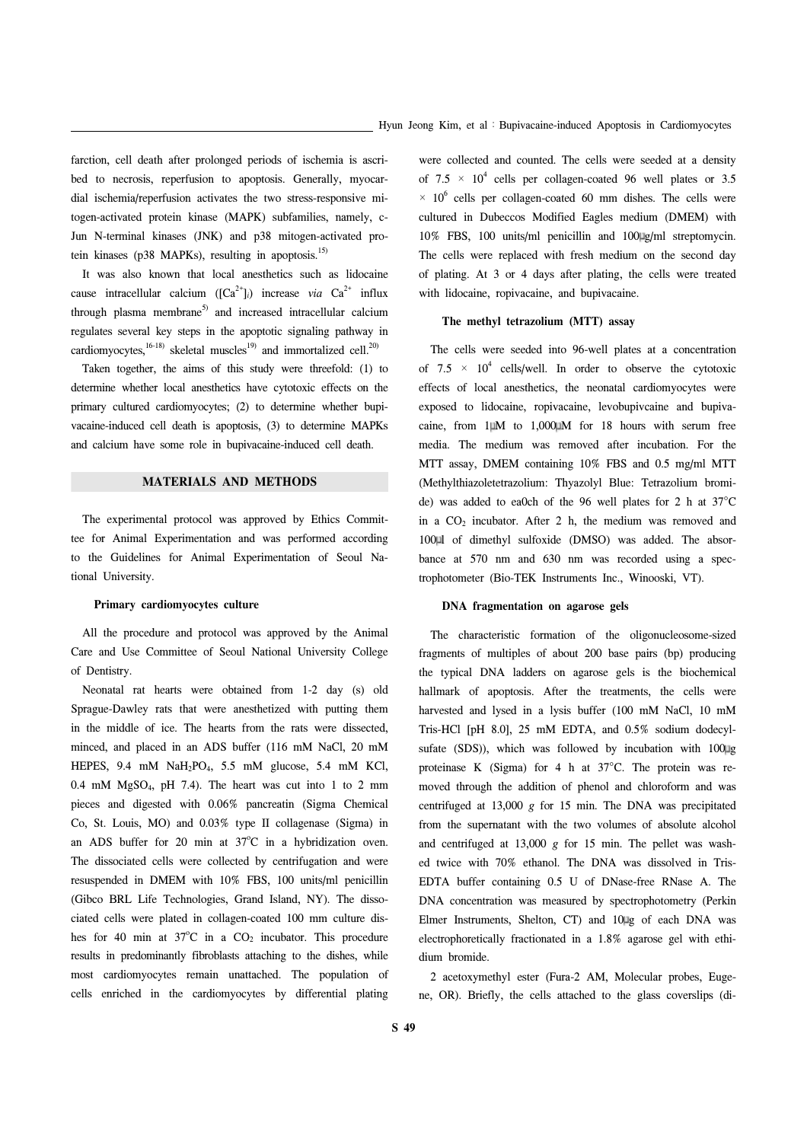farction, cell death after prolonged periods of ischemia is ascribed to necrosis, reperfusion to apoptosis. Generally, myocardial ischemia/reperfusion activates the two stress-responsive mitogen-activated protein kinase (MAPK) subfamilies, namely, c-Jun N-terminal kinases (JNK) and p38 mitogen-activated protein kinases (p38 MAPKs), resulting in apoptosis.<sup>15)</sup>

 It was also known that local anesthetics such as lidocaine cause intracellular calcium  $([Ca^{2+}]_i)$  increase *via*  $Ca^{2+}$  influx through plasma membrane<sup>5)</sup> and increased intracellular calcium regulates several key steps in the apoptotic signaling pathway in cardiomyocytes,<sup>16-18)</sup> skeletal muscles<sup>19)</sup> and immortalized cell.<sup>20)</sup>

 Taken together, the aims of this study were threefold: (1) to determine whether local anesthetics have cytotoxic effects on the primary cultured cardiomyocytes; (2) to determine whether bupivacaine-induced cell death is apoptosis, (3) to determine MAPKs and calcium have some role in bupivacaine-induced cell death.

# **MATERIALS AND METHODS**

 The experimental protocol was approved by Ethics Committee for Animal Experimentation and was performed according to the Guidelines for Animal Experimentation of Seoul National University.

### **Primary cardiomyocytes culture**

 All the procedure and protocol was approved by the Animal Care and Use Committee of Seoul National University College of Dentistry.

 Neonatal rat hearts were obtained from 1-2 day (s) old Sprague-Dawley rats that were anesthetized with putting them in the middle of ice. The hearts from the rats were dissected, minced, and placed in an ADS buffer (116 mM NaCl, 20 mM HEPES, 9.4 mM NaH2PO4, 5.5 mM glucose, 5.4 mM KCl, 0.4 mM  $MgSO<sub>4</sub>$ , pH 7.4). The heart was cut into 1 to 2 mm pieces and digested with 0.06% pancreatin (Sigma Chemical Co, St. Louis, MO) and 0.03% type II collagenase (Sigma) in an ADS buffer for 20 min at  $37^{\circ}$ C in a hybridization oven. The dissociated cells were collected by centrifugation and were resuspended in DMEM with 10% FBS, 100 units/ml penicillin (Gibco BRL Life Technologies, Grand Island, NY). The dissociated cells were plated in collagen-coated 100 mm culture dishes for 40 min at  $37^{\circ}$ C in a CO<sub>2</sub> incubator. This procedure results in predominantly fibroblasts attaching to the dishes, while most cardiomyocytes remain unattached. The population of cells enriched in the cardiomyocytes by differential plating

were collected and counted. The cells were seeded at a density of  $7.5 \times 10^4$  cells per collagen-coated 96 well plates or 3.5  $\times$  10<sup>6</sup> cells per collagen-coated 60 mm dishes. The cells were cultured in Dubeccos Modified Eagles medium (DMEM) with 10% FBS, 100 units/ml penicillin and 100 g/ml streptomycin. The cells were replaced with fresh medium on the second day of plating. At 3 or 4 days after plating, the cells were treated with lidocaine, ropivacaine, and bupivacaine.

### **The methyl tetrazolium (MTT) assay**

 The cells were seeded into 96-well plates at a concentration of  $7.5 \times 10^4$  cells/well. In order to observe the cytotoxic effects of local anesthetics, the neonatal cardiomyocytes were exposed to lidocaine, ropivacaine, levobupivcaine and bupivacaine, from  $1 \mu M$  to  $1,000 \mu M$  for 18 hours with serum free media. The medium was removed after incubation. For the MTT assay, DMEM containing 10% FBS and 0.5 mg/ml MTT (Methylthiazoletetrazolium: Thyazolyl Blue: Tetrazolium bromide) was added to ea0ch of the 96 well plates for 2 h at 37°C in a  $CO<sub>2</sub>$  incubator. After 2 h, the medium was removed and 100 l of dimethyl sulfoxide (DMSO) was added. The absorbance at 570 nm and 630 nm was recorded using a spectrophotometer (Bio-TEK Instruments Inc., Winooski, VT).

### **DNA fragmentation on agarose gels**

 The characteristic formation of the oligonucleosome-sized fragments of multiples of about 200 base pairs (bp) producing the typical DNA ladders on agarose gels is the biochemical hallmark of apoptosis. After the treatments, the cells were harvested and lysed in a lysis buffer (100 mM NaCl, 10 mM Tris-HCl [pH 8.0], 25 mM EDTA, and 0.5% sodium dodecylsufate (SDS)), which was followed by incubation with  $100 \mu$ g proteinase K (Sigma) for 4 h at 37°C. The protein was removed through the addition of phenol and chloroform and was centrifuged at 13,000 *g* for 15 min. The DNA was precipitated from the supernatant with the two volumes of absolute alcohol and centrifuged at  $13,000$  g for 15 min. The pellet was washed twice with 70% ethanol. The DNA was dissolved in Tris-EDTA buffer containing 0.5 U of DNase-free RNase A. The DNA concentration was measured by spectrophotometry (Perkin Elmer Instruments, Shelton, CT) and 10 g of each DNA was electrophoretically fractionated in a 1.8% agarose gel with ethidium bromide.

 2 acetoxymethyl ester (Fura-2 AM, Molecular probes, Eugene, OR). Briefly, the cells attached to the glass coverslips (di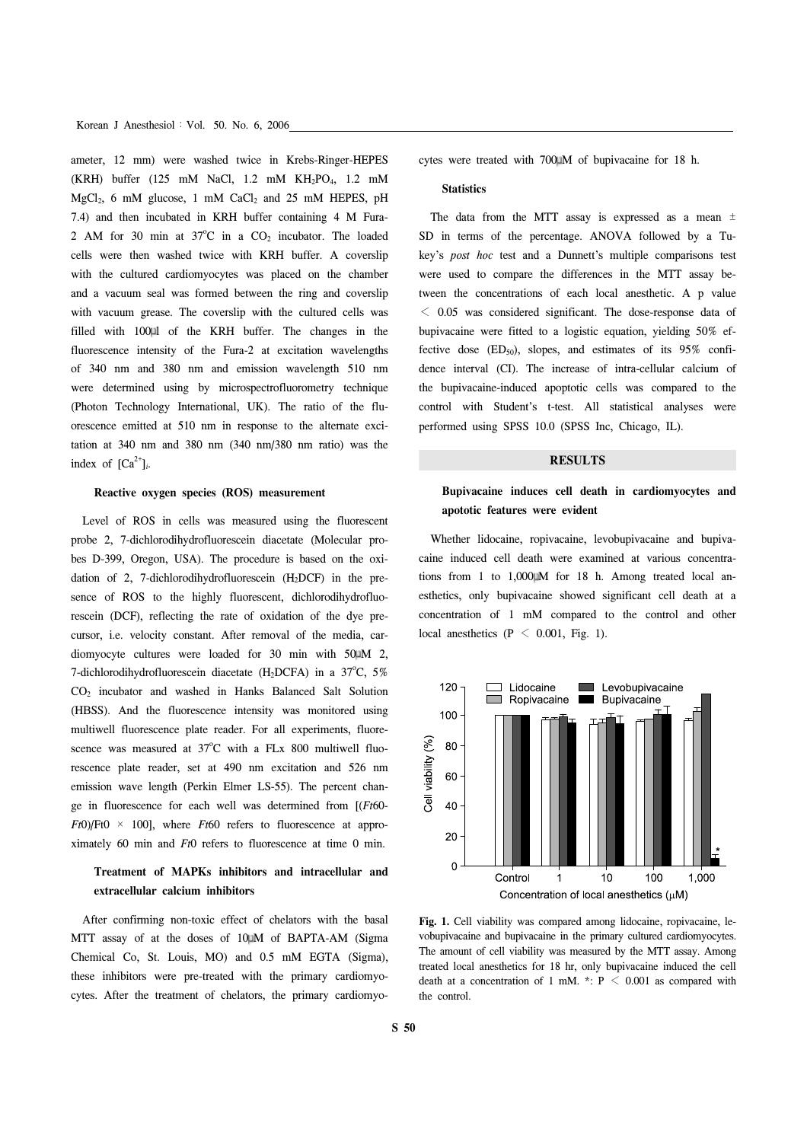Korean J Anesthesiol: Vol. 50. No. 6, 2006

ameter, 12 mm) were washed twice in Krebs-Ringer-HEPES (KRH) buffer (125 mM NaCl, 1.2 mM KH<sub>2</sub>PO<sub>4</sub>, 1.2 mM  $MgCl<sub>2</sub>$ , 6 mM glucose, 1 mM CaCl<sub>2</sub> and 25 mM HEPES, pH 7.4) and then incubated in KRH buffer containing 4 M Fura-2 AM for 30 min at  $37^{\circ}$ C in a CO<sub>2</sub> incubator. The loaded cells were then washed twice with KRH buffer. A coverslip with the cultured cardiomyocytes was placed on the chamber and a vacuum seal was formed between the ring and coverslip with vacuum grease. The coverslip with the cultured cells was filled with 100 l of the KRH buffer. The changes in the fluorescence intensity of the Fura-2 at excitation wavelengths of 340 nm and 380 nm and emission wavelength 510 nm were determined using by microspectrofluorometry technique (Photon Technology International, UK). The ratio of the fluorescence emitted at 510 nm in response to the alternate excitation at 340 nm and 380 nm (340 nm/380 nm ratio) was the index of  $[Ca^{2+}]$ *i*.

### **Reactive oxygen species (ROS) measurement**

 Level of ROS in cells was measured using the fluorescent probe 2, 7-dichlorodihydrofluorescein diacetate (Molecular probes D-399, Oregon, USA). The procedure is based on the oxidation of 2, 7-dichlorodihydrofluorescein (H2DCF) in the presence of ROS to the highly fluorescent, dichlorodihydrofluorescein (DCF), reflecting the rate of oxidation of the dye precursor, i.e. velocity constant. After removal of the media, cardiomyocyte cultures were loaded for 30 min with 50 M 2, 7-dichlorodihydrofluorescein diacetate (H<sub>2</sub>DCFA) in a  $37^{\circ}$ C,  $5\%$ CO2 incubator and washed in Hanks Balanced Salt Solution (HBSS). And the fluorescence intensity was monitored using multiwell fluorescence plate reader. For all experiments, fluorescence was measured at  $37^{\circ}$ C with a FLx 800 multiwell fluorescence plate reader, set at 490 nm excitation and 526 nm emission wave length (Perkin Elmer LS-55). The percent change in fluorescence for each well was determined from [(*Ft*60-  $Ft0$ )/Ft0  $\times$  100], where *Ft*60 refers to fluorescence at approximately 60 min and *Ft*0 refers to fluorescence at time 0 min.

# **Treatment of MAPKs inhibitors and intracellular and extracellular calcium inhibitors**

 After confirming non-toxic effect of chelators with the basal MTT assay of at the doses of 10 M of BAPTA-AM (Sigma Chemical Co, St. Louis, MO) and 0.5 mM EGTA (Sigma), these inhibitors were pre-treated with the primary cardiomyocytes. After the treatment of chelators, the primary cardiomyocytes were treated with 700 M of bupivacaine for 18 h.

#### **Statistics**

The data from the MTT assay is expressed as a mean  $\pm$ SD in terms of the percentage. ANOVA followed by a Tukey's *post hoc* test and a Dunnett's multiple comparisons test were used to compare the differences in the MTT assay between the concentrations of each local anesthetic. A p value  $\leq$  0.05 was considered significant. The dose-response data of bupivacaine were fitted to a logistic equation, yielding 50% effective dose  $(ED_{50})$ , slopes, and estimates of its 95% confidence interval (CI). The increase of intra-cellular calcium of the bupivacaine-induced apoptotic cells was compared to the control with Student's t-test. All statistical analyses were performed using SPSS 10.0 (SPSS Inc, Chicago, IL).

### **RESULTS**

# **Bupivacaine induces cell death in cardiomyocytes and apototic features were evident**

 Whether lidocaine, ropivacaine, levobupivacaine and bupivacaine induced cell death were examined at various concentrations from 1 to  $1,000$  M for 18 h. Among treated local anesthetics, only bupivacaine showed significant cell death at a concentration of 1 mM compared to the control and other local anesthetics ( $P \le 0.001$ , Fig. 1).



**Fig. 1.** Cell viability was compared among lidocaine, ropivacaine, levobupivacaine and bupivacaine in the primary cultured cardiomyocytes. The amount of cell viability was measured by the MTT assay. Among treated local anesthetics for 18 hr, only bupivacaine induced the cell death at a concentration of 1 mM. \*:  $P \le 0.001$  as compared with the control.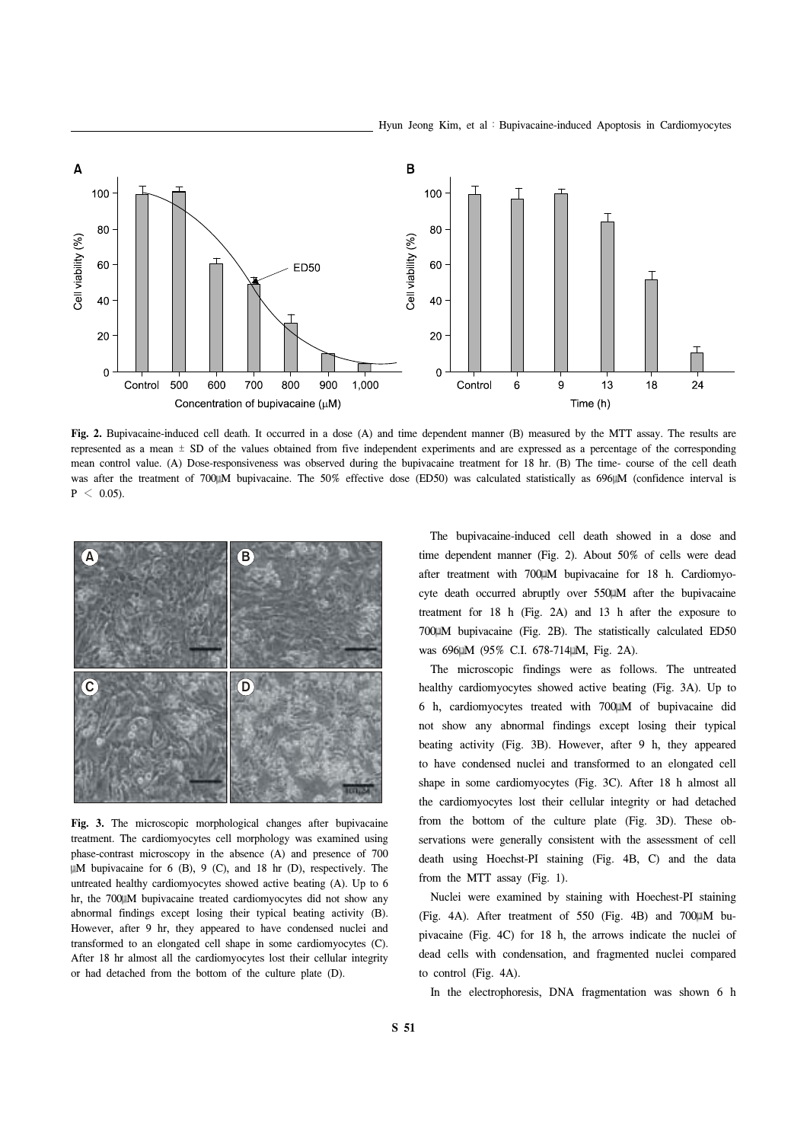

**Fig. 2.** Bupivacaine-induced cell death. It occurred in a dose (A) and time dependent manner (B) measured by the MTT assay. The results are represented as a mean ± SD of the values obtained from five independent experiments and are expressed as a percentage of the corresponding mean control value. (A) Dose-responsiveness was observed during the bupivacaine treatment for 18 hr. (B) The time- course of the cell death was after the treatment of 700 M bupivacaine. The 50% effective dose (ED50) was calculated statistically as 696 M (confidence interval is  $P \leq 0.05$ ).



**Fig. 3.** The microscopic morphological changes after bupivacaine treatment. The cardiomyocytes cell morphology was examined using phase-contrast microscopy in the absence (A) and presence of 700 M bupivacaine for 6 (B), 9 (C), and 18 hr (D), respectively. The untreated healthy cardiomyocytes showed active beating (A). Up to 6 hr, the 700 M bupivacaine treated cardiomyocytes did not show any abnormal findings except losing their typical beating activity (B). However, after 9 hr, they appeared to have condensed nuclei and transformed to an elongated cell shape in some cardiomyocytes (C). After 18 hr almost all the cardiomyocytes lost their cellular integrity or had detached from the bottom of the culture plate (D).

 The bupivacaine-induced cell death showed in a dose and time dependent manner (Fig. 2). About 50% of cells were dead after treatment with 700 M bupivacaine for 18 h. Cardiomyocyte death occurred abruptly over 550 M after the bupivacaine treatment for 18 h (Fig. 2A) and 13 h after the exposure to 700 M bupivacaine (Fig. 2B). The statistically calculated ED50 was 696µM (95% C.I. 678-714µM, Fig. 2A).

 The microscopic findings were as follows. The untreated healthy cardiomyocytes showed active beating (Fig. 3A). Up to 6 h, cardiomyocytes treated with 700 M of bupivacaine did not show any abnormal findings except losing their typical beating activity (Fig. 3B). However, after 9 h, they appeared to have condensed nuclei and transformed to an elongated cell shape in some cardiomyocytes (Fig. 3C). After 18 h almost all the cardiomyocytes lost their cellular integrity or had detached from the bottom of the culture plate (Fig. 3D). These observations were generally consistent with the assessment of cell death using Hoechst-PI staining (Fig. 4B, C) and the data from the MTT assay (Fig. 1).

 Nuclei were examined by staining with Hoechest-PI staining (Fig. 4A). After treatment of 550 (Fig. 4B) and 700 $\mu$ M bupivacaine (Fig. 4C) for 18 h, the arrows indicate the nuclei of dead cells with condensation, and fragmented nuclei compared to control (Fig. 4A).

In the electrophoresis, DNA fragmentation was shown 6 h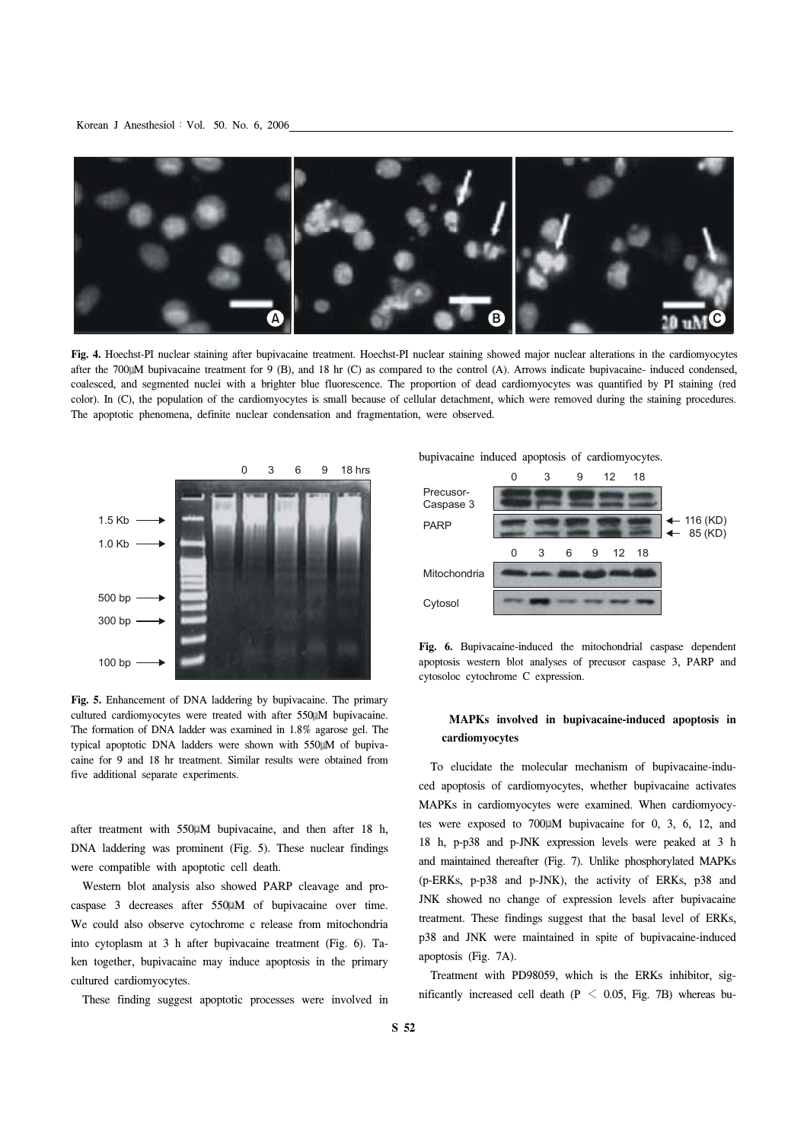

**Fig. 4.** Hoechst-PI nuclear staining after bupivacaine treatment. Hoechst-PI nuclear staining showed major nuclear alterations in the cardiomyocytes after the 700 M bupivacaine treatment for 9 (B), and 18 hr (C) as compared to the control (A). Arrows indicate bupivacaine- induced condensed, coalesced, and segmented nuclei with a brighter blue fluorescence. The proportion of dead cardiomyocytes was quantified by PI staining (red color). In (C), the population of the cardiomyocytes is small because of cellular detachment, which were removed during the staining procedures. The apoptotic phenomena, definite nuclear condensation and fragmentation, were observed.



**Fig. 5.** Enhancement of DNA laddering by bupivacaine. The primary cultured cardiomyocytes were treated with after 550 M bupivacaine. The formation of DNA ladder was examined in 1.8% agarose gel. The typical apoptotic DNA ladders were shown with 550 M of bupivacaine for 9 and 18 hr treatment. Similar results were obtained from five additional separate experiments.

after treatment with 550 M bupivacaine, and then after 18 h, DNA laddering was prominent (Fig. 5). These nuclear findings were compatible with apoptotic cell death.

 Western blot analysis also showed PARP cleavage and procaspase 3 decreases after 550 M of bupivacaine over time. We could also observe cytochrome c release from mitochondria into cytoplasm at 3 h after bupivacaine treatment (Fig. 6). Taken together, bupivacaine may induce apoptosis in the primary cultured cardiomyocytes.

These finding suggest apoptotic processes were involved in

bupivacaine induced apoptosis of cardiomyocytes.



**Fig. 6.** Bupivacaine-induced the mitochondrial caspase dependent apoptosis western blot analyses of precusor caspase 3, PARP and cytosoloc cytochrome C expression.

# **MAPKs involved in bupivacaine-induced apoptosis in cardiomyocytes**

 To elucidate the molecular mechanism of bupivacaine-induced apoptosis of cardiomyocytes, whether bupivacaine activates MAPKs in cardiomyocytes were examined. When cardiomyocytes were exposed to  $700 \mu M$  bupivacaine for 0, 3, 6, 12, and 18 h, p-p38 and p-JNK expression levels were peaked at 3 h and maintained thereafter (Fig. 7). Unlike phosphorylated MAPKs (p-ERKs, p-p38 and p-JNK), the activity of ERKs, p38 and JNK showed no change of expression levels after bupivacaine treatment. These findings suggest that the basal level of ERKs, p38 and JNK were maintained in spite of bupivacaine-induced apoptosis (Fig. 7A).

 Treatment with PD98059, which is the ERKs inhibitor, significantly increased cell death ( $P < 0.05$ , Fig. 7B) whereas bu-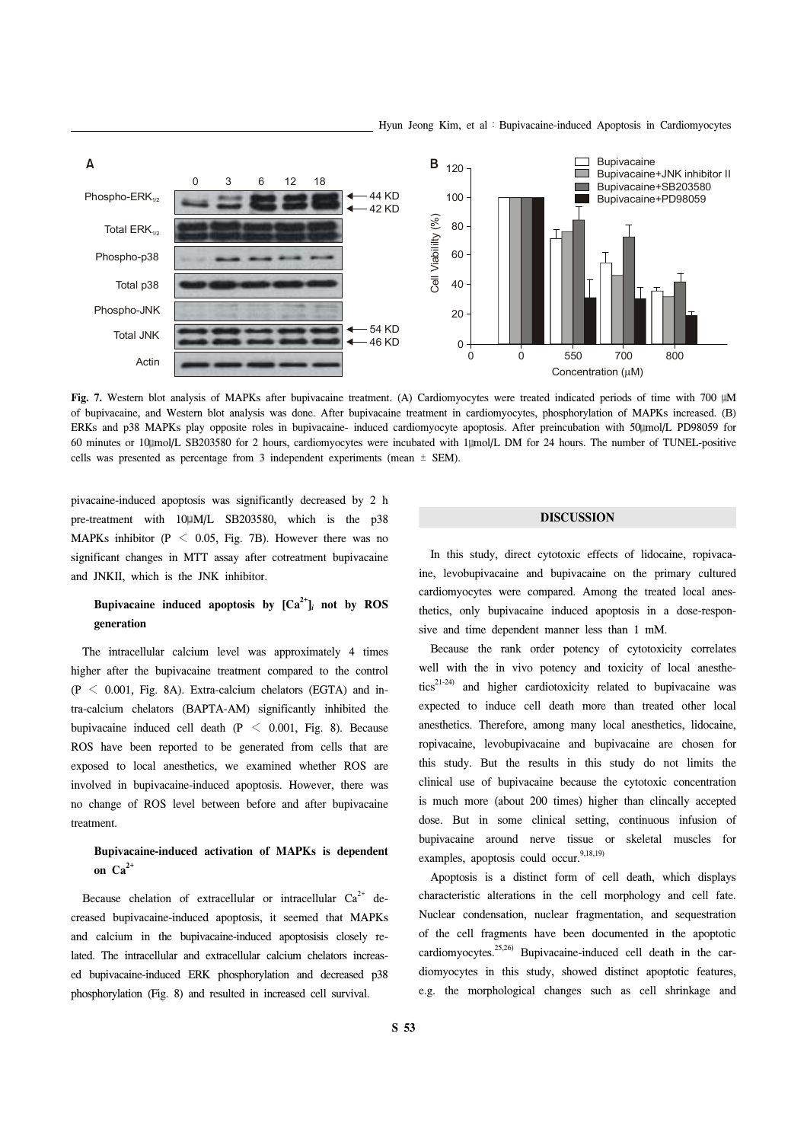

Fig. 7. Western blot analysis of MAPKs after bupivacaine treatment. (A) Cardiomyocytes were treated indicated periods of time with 700  $\mu$ M of bupivacaine, and Western blot analysis was done. After bupivacaine treatment in cardiomyocytes, phosphorylation of MAPKs increased. (B) ERKs and p38 MAPKs play opposite roles in bupivacaine- induced cardiomyocyte apoptosis. After preincubation with 50 mol/L PD98059 for 60 minutes or 10 mol/L SB203580 for 2 hours, cardiomyocytes were incubated with 1 mol/L DM for 24 hours. The number of TUNEL-positive cells was presented as percentage from 3 independent experiments (mean ± SEM).

pivacaine-induced apoptosis was significantly decreased by 2 h pre-treatment with 10 M/L SB203580, which is the p38 MAPKs inhibitor ( $P \le 0.05$ , Fig. 7B). However there was no significant changes in MTT assay after cotreatment bupivacaine and JNKII, which is the JNK inhibitor.

# **Bupivacaine induced apoptosis by**  $[Ca^{2+}]$ *i* **not by ROS generation**

 The intracellular calcium level was approximately 4 times higher after the bupivacaine treatment compared to the control  $(P < 0.001,$  Fig. 8A). Extra-calcium chelators (EGTA) and intra-calcium chelators (BAPTA-AM) significantly inhibited the bupivacaine induced cell death ( $P < 0.001$ , Fig. 8). Because ROS have been reported to be generated from cells that are exposed to local anesthetics, we examined whether ROS are involved in bupivacaine-induced apoptosis. However, there was no change of ROS level between before and after bupivacaine treatment.

# **Bupivacaine-induced activation of MAPKs is dependent**  on  $Ca^{2+}$

Because chelation of extracellular or intracellular  $Ca^{2+}$  decreased bupivacaine-induced apoptosis, it seemed that MAPKs and calcium in the bupivacaine-induced apoptosisis closely related. The intracellular and extracellular calcium chelators increased bupivacaine-induced ERK phosphorylation and decreased p38 phosphorylation (Fig. 8) and resulted in increased cell survival.

### **DISCUSSION**

 In this study, direct cytotoxic effects of lidocaine, ropivacaine, levobupivacaine and bupivacaine on the primary cultured cardiomyocytes were compared. Among the treated local anesthetics, only bupivacaine induced apoptosis in a dose-responsive and time dependent manner less than 1 mM.

 Because the rank order potency of cytotoxicity correlates well with the in vivo potency and toxicity of local anesthe $tics<sup>21-24</sup>$  and higher cardiotoxicity related to bupivacaine was expected to induce cell death more than treated other local anesthetics. Therefore, among many local anesthetics, lidocaine, ropivacaine, levobupivacaine and bupivacaine are chosen for this study. But the results in this study do not limits the clinical use of bupivacaine because the cytotoxic concentration is much more (about 200 times) higher than clincally accepted dose. But in some clinical setting, continuous infusion of bupivacaine around nerve tissue or skeletal muscles for examples, apoptosis could occur.<sup>9,18,19)</sup>

 Apoptosis is a distinct form of cell death, which displays characteristic alterations in the cell morphology and cell fate. Nuclear condensation, nuclear fragmentation, and sequestration of the cell fragments have been documented in the apoptotic cardiomyocytes.<sup>25,26)</sup> Bupivacaine-induced cell death in the cardiomyocytes in this study, showed distinct apoptotic features, e.g. the morphological changes such as cell shrinkage and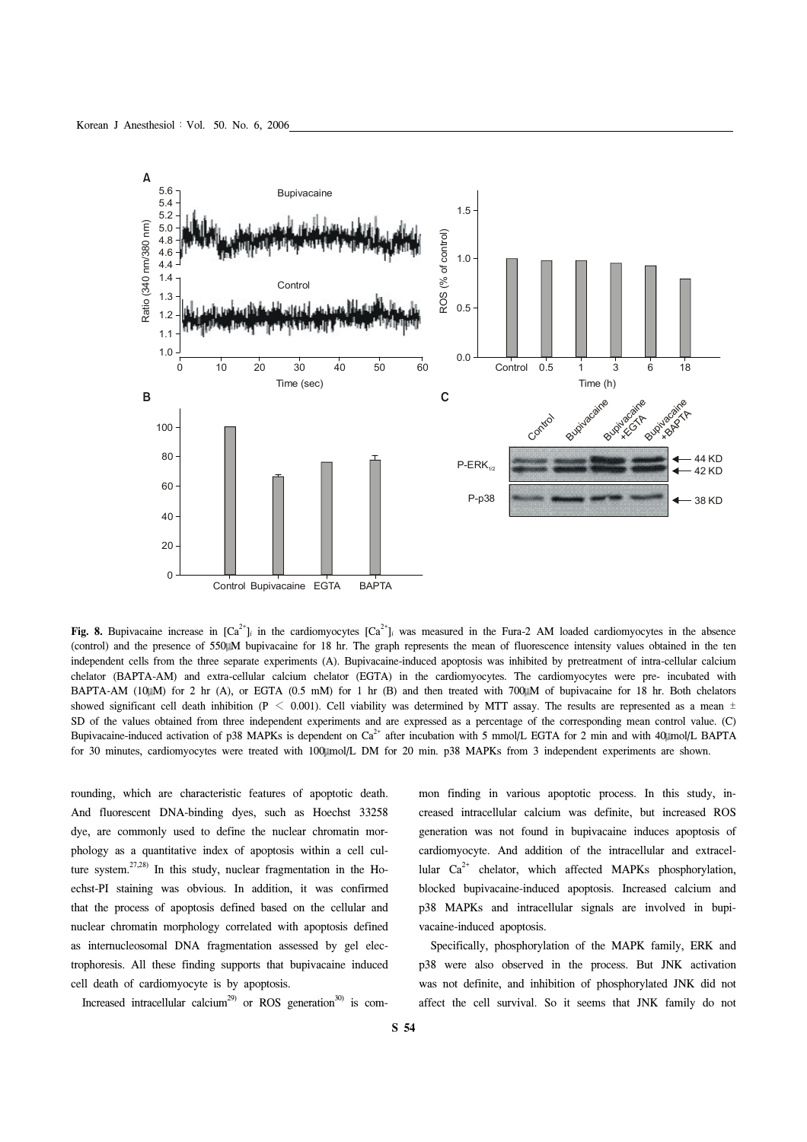

**Fig. 8.** Bupivacaine increase in  $[Ca^{2+}]$ *i* in the cardiomyocytes  $[Ca^{2+}]$ *i* was measured in the Fura-2 AM loaded cardiomyocytes in the absence (control) and the presence of 550 M bupivacaine for 18 hr. The graph represents the mean of fluorescence intensity values obtained in the ten independent cells from the three separate experiments (A). Bupivacaine-induced apoptosis was inhibited by pretreatment of intra-cellular calcium chelator (BAPTA-AM) and extra-cellular calcium chelator (EGTA) in the cardiomyocytes. The cardiomyocytes were pre- incubated with BAPTA-AM (10 $\mu$ M) for 2 hr (A), or EGTA (0.5 mM) for 1 hr (B) and then treated with 700 $\mu$ M of bupivacaine for 18 hr. Both chelators showed significant cell death inhibition (P < 0.001). Cell viability was determined by MTT assay. The results are represented as a mean  $\pm$ SD of the values obtained from three independent experiments and are expressed as a percentage of the corresponding mean control value. (C) Bupivacaine-induced activation of p38 MAPKs is dependent on  $Ca^{2+}$  after incubation with 5 mmol/L EGTA for 2 min and with 40 mol/L BAPTA for 30 minutes, cardiomyocytes were treated with 100 kmol/L DM for 20 min. p38 MAPKs from 3 independent experiments are shown.

rounding, which are characteristic features of apoptotic death. And fluorescent DNA-binding dyes, such as Hoechst 33258 dye, are commonly used to define the nuclear chromatin morphology as a quantitative index of apoptosis within a cell culture system.<sup>27,28)</sup> In this study, nuclear fragmentation in the Hoechst-PI staining was obvious. In addition, it was confirmed that the process of apoptosis defined based on the cellular and nuclear chromatin morphology correlated with apoptosis defined as internucleosomal DNA fragmentation assessed by gel electrophoresis. All these finding supports that bupivacaine induced cell death of cardiomyocyte is by apoptosis.

Increased intracellular calcium<sup>29</sup> or ROS generation<sup>30</sup> is com-

mon finding in various apoptotic process. In this study, increased intracellular calcium was definite, but increased ROS generation was not found in bupivacaine induces apoptosis of cardiomyocyte. And addition of the intracellular and extracellular  $Ca^{2+}$  chelator, which affected MAPKs phosphorylation, blocked bupivacaine-induced apoptosis. Increased calcium and p38 MAPKs and intracellular signals are involved in bupivacaine-induced apoptosis.

 Specifically, phosphorylation of the MAPK family, ERK and p38 were also observed in the process. But JNK activation was not definite, and inhibition of phosphorylated JNK did not affect the cell survival. So it seems that JNK family do not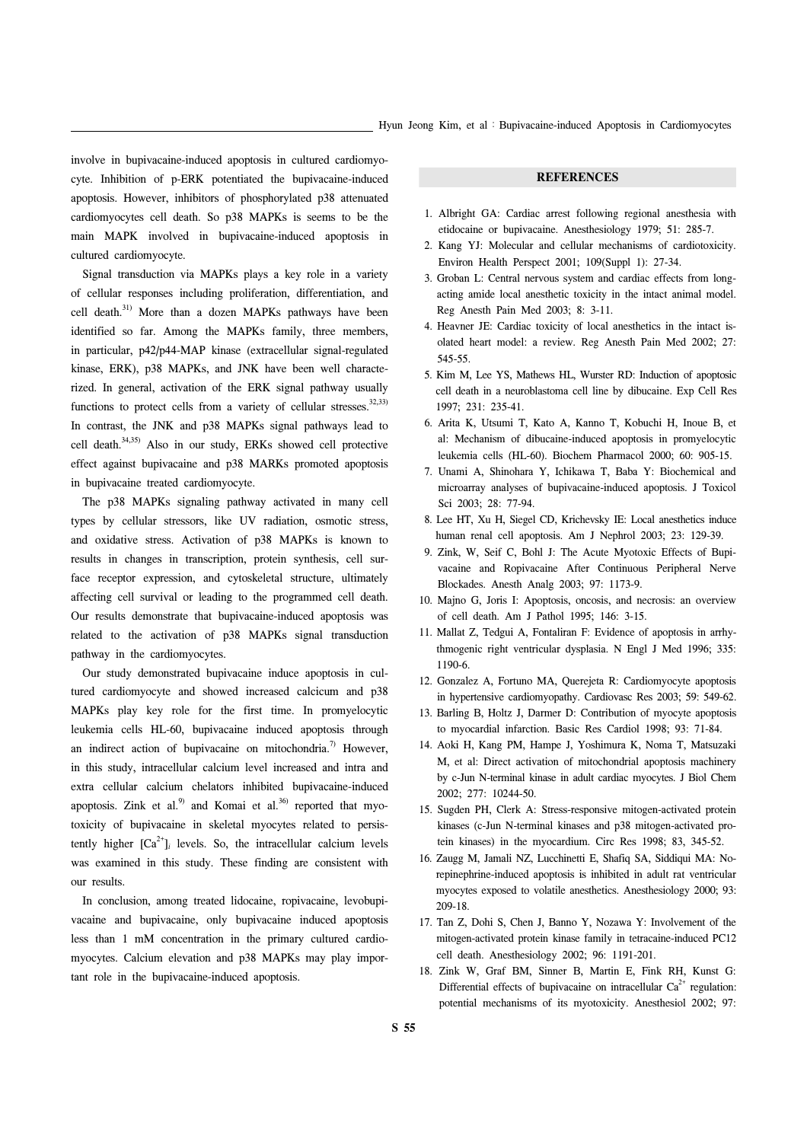involve in bupivacaine-induced apoptosis in cultured cardiomyocyte. Inhibition of p-ERK potentiated the bupivacaine-induced apoptosis. However, inhibitors of phosphorylated p38 attenuated cardiomyocytes cell death. So p38 MAPKs is seems to be the main MAPK involved in bupivacaine-induced apoptosis in cultured cardiomyocyte.

 Signal transduction via MAPKs plays a key role in a variety of cellular responses including proliferation, differentiation, and cell death.<sup>31)</sup> More than a dozen MAPKs pathways have been identified so far. Among the MAPKs family, three members, in particular, p42/p44-MAP kinase (extracellular signal-regulated kinase, ERK), p38 MAPKs, and JNK have been well characterized. In general, activation of the ERK signal pathway usually functions to protect cells from a variety of cellular stresses. $32,33)$ In contrast, the JNK and p38 MAPKs signal pathways lead to cell death.34,35) Also in our study, ERKs showed cell protective effect against bupivacaine and p38 MARKs promoted apoptosis in bupivacaine treated cardiomyocyte.

 The p38 MAPKs signaling pathway activated in many cell types by cellular stressors, like UV radiation, osmotic stress, and oxidative stress. Activation of p38 MAPKs is known to results in changes in transcription, protein synthesis, cell surface receptor expression, and cytoskeletal structure, ultimately affecting cell survival or leading to the programmed cell death. Our results demonstrate that bupivacaine-induced apoptosis was related to the activation of p38 MAPKs signal transduction pathway in the cardiomyocytes.

 Our study demonstrated bupivacaine induce apoptosis in cultured cardiomyocyte and showed increased calcicum and p38 MAPKs play key role for the first time. In promyelocytic leukemia cells HL-60, bupivacaine induced apoptosis through an indirect action of bupivacaine on mitochondria.<sup>7)</sup> However, in this study, intracellular calcium level increased and intra and extra cellular calcium chelators inhibited bupivacaine-induced apoptosis. Zink et al.<sup>9)</sup> and Komai et al.<sup>36)</sup> reported that myotoxicity of bupivacaine in skeletal myocytes related to persistently higher  $[Ca^{2+}]_i$  levels. So, the intracellular calcium levels was examined in this study. These finding are consistent with our results.

 In conclusion, among treated lidocaine, ropivacaine, levobupivacaine and bupivacaine, only bupivacaine induced apoptosis less than 1 mM concentration in the primary cultured cardiomyocytes. Calcium elevation and p38 MAPKs may play important role in the bupivacaine-induced apoptosis.

### **REFERENCES**

- 1. Albright GA: Cardiac arrest following regional anesthesia with etidocaine or bupivacaine. Anesthesiology 1979; 51: 285-7.
- 2. Kang YJ: Molecular and cellular mechanisms of cardiotoxicity. Environ Health Perspect 2001; 109(Suppl 1): 27-34.
- 3. Groban L: Central nervous system and cardiac effects from longacting amide local anesthetic toxicity in the intact animal model. Reg Anesth Pain Med 2003; 8: 3-11.
- 4. Heavner JE: Cardiac toxicity of local anesthetics in the intact isolated heart model: a review. Reg Anesth Pain Med 2002; 27: 545-55.
- 5. Kim M, Lee YS, Mathews HL, Wurster RD: Induction of apoptosic cell death in a neuroblastoma cell line by dibucaine. Exp Cell Res 1997; 231: 235-41.
- 6. Arita K, Utsumi T, Kato A, Kanno T, Kobuchi H, Inoue B, et al: Mechanism of dibucaine-induced apoptosis in promyelocytic leukemia cells (HL-60). Biochem Pharmacol 2000; 60: 905-15.
- 7. Unami A, Shinohara Y, Ichikawa T, Baba Y: Biochemical and microarray analyses of bupivacaine-induced apoptosis. J Toxicol Sci 2003; 28: 77-94.
- 8. Lee HT, Xu H, Siegel CD, Krichevsky IE: Local anesthetics induce human renal cell apoptosis. Am J Nephrol 2003; 23: 129-39.
- 9. Zink, W, Seif C, Bohl J: The Acute Myotoxic Effects of Bupivacaine and Ropivacaine After Continuous Peripheral Nerve Blockades. Anesth Analg 2003; 97: 1173-9.
- 10. Majno G, Joris I: Apoptosis, oncosis, and necrosis: an overview of cell death. Am J Pathol 1995; 146: 3-15.
- 11. Mallat Z, Tedgui A, Fontaliran F: Evidence of apoptosis in arrhythmogenic right ventricular dysplasia. N Engl J Med 1996; 335: 1190-6.
- 12. Gonzalez A, Fortuno MA, Querejeta R: Cardiomyocyte apoptosis in hypertensive cardiomyopathy. Cardiovasc Res 2003; 59: 549-62.
- 13. Barling B, Holtz J, Darmer D: Contribution of myocyte apoptosis to myocardial infarction. Basic Res Cardiol 1998; 93: 71-84.
- 14. Aoki H, Kang PM, Hampe J, Yoshimura K, Noma T, Matsuzaki M, et al: Direct activation of mitochondrial apoptosis machinery by c-Jun N-terminal kinase in adult cardiac myocytes. J Biol Chem 2002; 277: 10244-50.
- 15. Sugden PH, Clerk A: Stress-responsive mitogen-activated protein kinases (c-Jun N-terminal kinases and p38 mitogen-activated protein kinases) in the myocardium. Circ Res 1998; 83, 345-52.
- 16. Zaugg M, Jamali NZ, Lucchinetti E, Shafiq SA, Siddiqui MA: Norepinephrine-induced apoptosis is inhibited in adult rat ventricular myocytes exposed to volatile anesthetics. Anesthesiology 2000; 93: 209-18.
- 17. Tan Z, Dohi S, Chen J, Banno Y, Nozawa Y: Involvement of the mitogen-activated protein kinase family in tetracaine-induced PC12 cell death. Anesthesiology 2002; 96: 1191-201.
- 18. Zink W, Graf BM, Sinner B, Martin E, Fink RH, Kunst G: Differential effects of bupivacaine on intracellular  $Ca<sup>2+</sup>$  regulation: potential mechanisms of its myotoxicity. Anesthesiol 2002; 97: